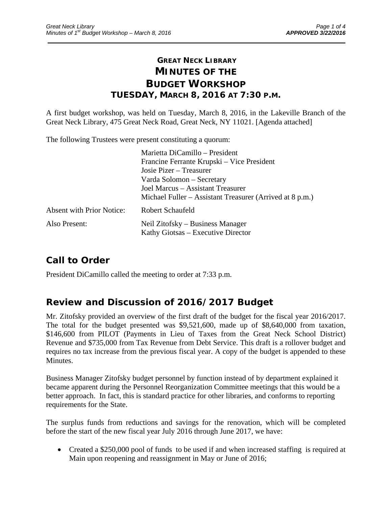## **GREAT NECK LIBRARY MINUTES OF THE BUDGET WORKSHOP TUESDAY, MARCH 8, 2016 AT 7:30 P.M.**

\_\_\_\_\_\_\_\_\_\_\_\_\_\_\_\_\_\_\_\_\_\_\_\_\_\_\_\_\_\_\_\_\_\_\_\_\_\_\_\_\_\_\_\_\_\_\_\_\_\_\_\_\_\_\_\_\_\_\_\_\_\_\_\_\_\_\_\_\_\_\_\_\_\_\_\_\_\_\_\_\_\_\_\_\_\_\_\_\_\_\_\_\_

A first budget workshop, was held on Tuesday, March 8, 2016, in the Lakeville Branch of the Great Neck Library, 475 Great Neck Road, Great Neck, NY 11021. [Agenda attached]

The following Trustees were present constituting a quorum:

|                                  | Marietta DiCamillo – President                                         |
|----------------------------------|------------------------------------------------------------------------|
|                                  | Francine Ferrante Krupski – Vice President                             |
|                                  | Josie Pizer – Treasurer                                                |
|                                  | Varda Solomon – Secretary                                              |
|                                  | Joel Marcus - Assistant Treasurer                                      |
|                                  | Michael Fuller – Assistant Treasurer (Arrived at 8 p.m.)               |
| <b>Absent with Prior Notice:</b> | Robert Schaufeld                                                       |
| Also Present:                    | Neil Zitofsky – Business Manager<br>Kathy Giotsas – Executive Director |

# **Call to Order**

President DiCamillo called the meeting to order at 7:33 p.m.

## **Review and Discussion of 2016/2017 Budget**

Mr. Zitofsky provided an overview of the first draft of the budget for the fiscal year 2016/2017. The total for the budget presented was \$9,521,600, made up of \$8,640,000 from taxation, \$146,600 from PILOT (Payments in Lieu of Taxes from the Great Neck School District) Revenue and \$735,000 from Tax Revenue from Debt Service. This draft is a rollover budget and requires no tax increase from the previous fiscal year. A copy of the budget is appended to these Minutes.

Business Manager Zitofsky budget personnel by function instead of by department explained it became apparent during the Personnel Reorganization Committee meetings that this would be a better approach. In fact, this is standard practice for other libraries, and conforms to reporting requirements for the State.

The surplus funds from reductions and savings for the renovation, which will be completed before the start of the new fiscal year July 2016 through June 2017, we have:

• Created a \$250,000 pool of funds to be used if and when increased staffing is required at Main upon reopening and reassignment in May or June of 2016;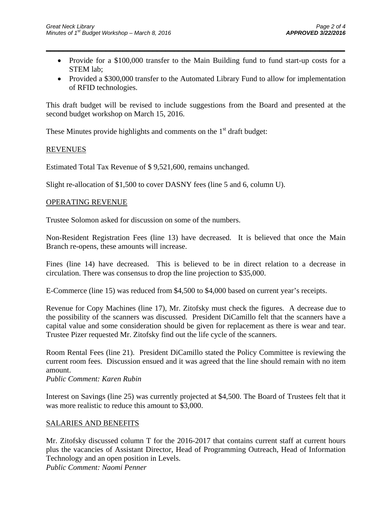• Provide for a \$100,000 transfer to the Main Building fund to fund start-up costs for a STEM lab;

 $\overline{\phantom{a}}$  , and the contract of the contract of the contract of the contract of the contract of the contract of the contract of the contract of the contract of the contract of the contract of the contract of the contrac

• Provided a \$300,000 transfer to the Automated Library Fund to allow for implementation of RFID technologies.

This draft budget will be revised to include suggestions from the Board and presented at the second budget workshop on March 15, 2016.

These Minutes provide highlights and comments on the  $1<sup>st</sup>$  draft budget:

### REVENUES

Estimated Total Tax Revenue of \$ 9,521,600, remains unchanged.

Slight re-allocation of \$1,500 to cover DASNY fees (line 5 and 6, column U).

#### OPERATING REVENUE

Trustee Solomon asked for discussion on some of the numbers.

Non-Resident Registration Fees (line 13) have decreased. It is believed that once the Main Branch re-opens, these amounts will increase.

Fines (line 14) have decreased. This is believed to be in direct relation to a decrease in circulation. There was consensus to drop the line projection to \$35,000.

E-Commerce (line 15) was reduced from \$4,500 to \$4,000 based on current year's receipts.

Revenue for Copy Machines (line 17), Mr. Zitofsky must check the figures. A decrease due to the possibility of the scanners was discussed. President DiCamillo felt that the scanners have a capital value and some consideration should be given for replacement as there is wear and tear. Trustee Pizer requested Mr. Zitofsky find out the life cycle of the scanners.

Room Rental Fees (line 21). President DiCamillo stated the Policy Committee is reviewing the current room fees. Discussion ensued and it was agreed that the line should remain with no item amount.

*Public Comment: Karen Rubin* 

Interest on Savings (line 25) was currently projected at \$4,500. The Board of Trustees felt that it was more realistic to reduce this amount to \$3,000.

### SALARIES AND BENEFITS

Mr. Zitofsky discussed column T for the 2016-2017 that contains current staff at current hours plus the vacancies of Assistant Director, Head of Programming Outreach, Head of Information Technology and an open position in Levels.

*Public Comment: Naomi Penner*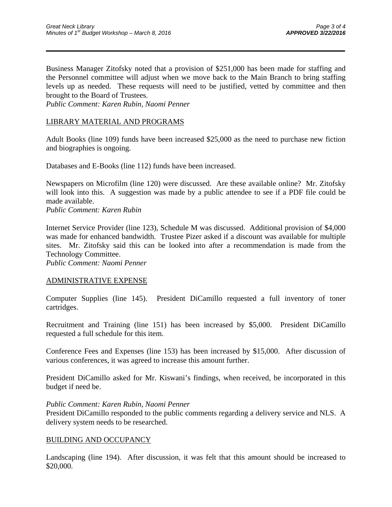Business Manager Zitofsky noted that a provision of \$251,000 has been made for staffing and the Personnel committee will adjust when we move back to the Main Branch to bring staffing levels up as needed. These requests will need to be justified, vetted by committee and then brought to the Board of Trustees.

 $\overline{\phantom{a}}$  , and the contract of the contract of the contract of the contract of the contract of the contract of the contract of the contract of the contract of the contract of the contract of the contract of the contrac

*Public Comment: Karen Rubin, Naomi Penner* 

## LIBRARY MATERIAL AND PROGRAMS

Adult Books (line 109) funds have been increased \$25,000 as the need to purchase new fiction and biographies is ongoing.

Databases and E-Books (line 112) funds have been increased.

Newspapers on Microfilm (line 120) were discussed. Are these available online? Mr. Zitofsky will look into this. A suggestion was made by a public attendee to see if a PDF file could be made available.

*Public Comment: Karen Rubin* 

Internet Service Provider (line 123), Schedule M was discussed. Additional provision of \$4,000 was made for enhanced bandwidth. Trustee Pizer asked if a discount was available for multiple sites. Mr. Zitofsky said this can be looked into after a recommendation is made from the Technology Committee.

*Public Comment: Naomi Penner* 

### ADMINISTRATIVE EXPENSE

Computer Supplies (line 145). President DiCamillo requested a full inventory of toner cartridges.

Recruitment and Training (line 151) has been increased by \$5,000. President DiCamillo requested a full schedule for this item.

Conference Fees and Expenses (line 153) has been increased by \$15,000. After discussion of various conferences, it was agreed to increase this amount further.

President DiCamillo asked for Mr. Kiswani's findings, when received, be incorporated in this budget if need be.

#### *Public Comment: Karen Rubin, Naomi Penner*

President DiCamillo responded to the public comments regarding a delivery service and NLS. A delivery system needs to be researched.

### BUILDING AND OCCUPANCY

Landscaping (line 194). After discussion, it was felt that this amount should be increased to \$20,000.